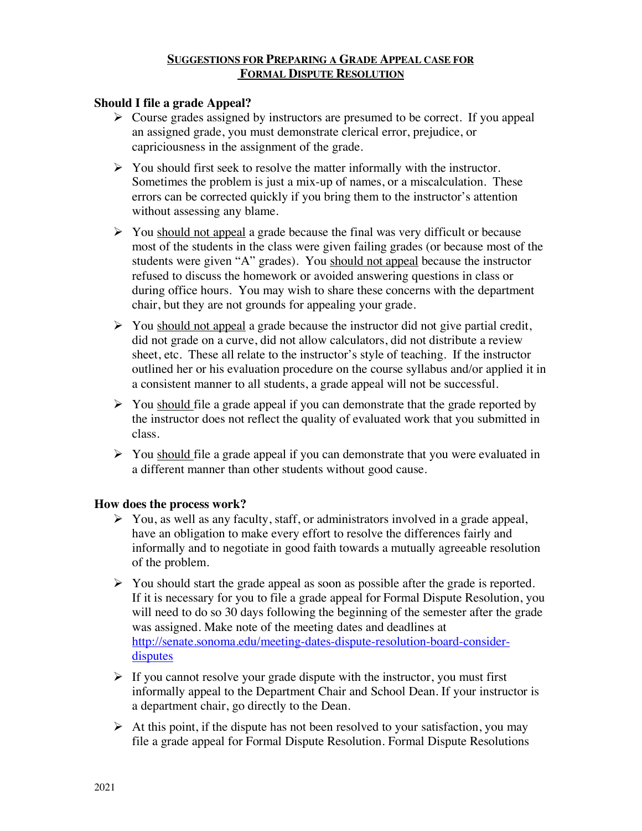#### **SUGGESTIONS FOR PREPARING A GRADE APPEAL CASE FOR FORMAL DISPUTE RESOLUTION**

# **Should I file a grade Appeal?**

- $\triangleright$  Course grades assigned by instructors are presumed to be correct. If you appeal an assigned grade, you must demonstrate clerical error, prejudice, or capriciousness in the assignment of the grade.
- $\triangleright$  You should first seek to resolve the matter informally with the instructor. Sometimes the problem is just a mix-up of names, or a miscalculation. These errors can be corrected quickly if you bring them to the instructor's attention without assessing any blame.
- $\triangleright$  You should not appeal a grade because the final was very difficult or because most of the students in the class were given failing grades (or because most of the students were given "A" grades). You should not appeal because the instructor refused to discuss the homework or avoided answering questions in class or during office hours. You may wish to share these concerns with the department chair, but they are not grounds for appealing your grade.
- $\triangleright$  You should not appeal a grade because the instructor did not give partial credit, did not grade on a curve, did not allow calculators, did not distribute a review sheet, etc. These all relate to the instructor's style of teaching. If the instructor outlined her or his evaluation procedure on the course syllabus and/or applied it in a consistent manner to all students, a grade appeal will not be successful.
- $\triangleright$  You should file a grade appeal if you can demonstrate that the grade reported by the instructor does not reflect the quality of evaluated work that you submitted in class.
- $\triangleright$  You should file a grade appeal if you can demonstrate that you were evaluated in a different manner than other students without good cause.

## **How does the process work?**

- $\triangleright$  You, as well as any faculty, staff, or administrators involved in a grade appeal, have an obligation to make every effort to resolve the differences fairly and informally and to negotiate in good faith towards a mutually agreeable resolution of the problem.
- $\triangleright$  You should start the grade appeal as soon as possible after the grade is reported. If it is necessary for you to file a grade appeal for Formal Dispute Resolution, you will need to do so 30 days following the beginning of the semester after the grade was assigned. Make note of the meeting dates and deadlines at http://senate.sonoma.edu/meeting-dates-dispute-resolution-board-considerdisputes
- $\triangleright$  If you cannot resolve your grade dispute with the instructor, you must first informally appeal to the Department Chair and School Dean. If your instructor is a department chair, go directly to the Dean.
- $\triangleright$  At this point, if the dispute has not been resolved to your satisfaction, you may file a grade appeal for Formal Dispute Resolution. Formal Dispute Resolutions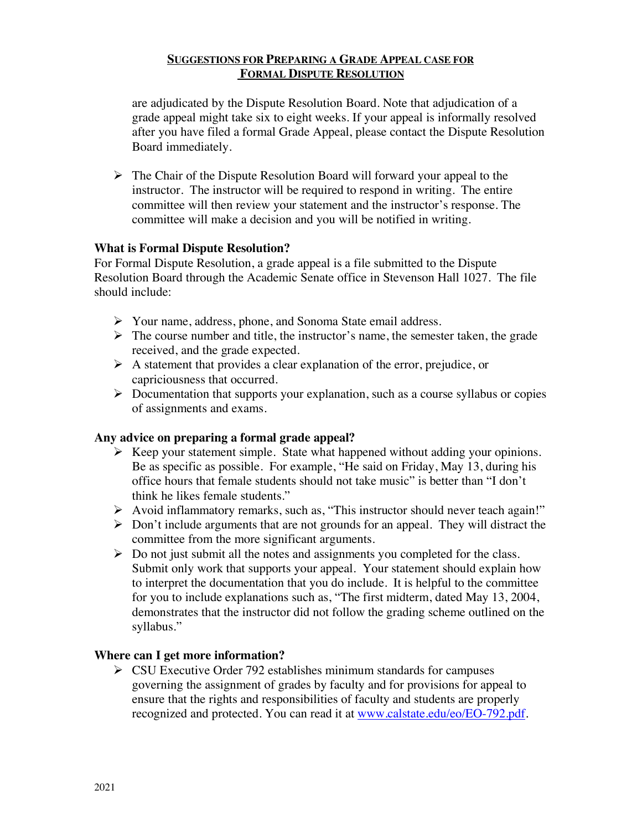#### **SUGGESTIONS FOR PREPARING A GRADE APPEAL CASE FOR FORMAL DISPUTE RESOLUTION**

are adjudicated by the Dispute Resolution Board. Note that adjudication of a grade appeal might take six to eight weeks. If your appeal is informally resolved after you have filed a formal Grade Appeal, please contact the Dispute Resolution Board immediately.

 $\triangleright$  The Chair of the Dispute Resolution Board will forward your appeal to the instructor. The instructor will be required to respond in writing. The entire committee will then review your statement and the instructor's response. The committee will make a decision and you will be notified in writing.

## **What is Formal Dispute Resolution?**

For Formal Dispute Resolution, a grade appeal is a file submitted to the Dispute Resolution Board through the Academic Senate office in Stevenson Hall 1027. The file should include:

- Ø Your name, address, phone, and Sonoma State email address.
- $\triangleright$  The course number and title, the instructor's name, the semester taken, the grade received, and the grade expected.
- $\triangleright$  A statement that provides a clear explanation of the error, prejudice, or capriciousness that occurred.
- $\triangleright$  Documentation that supports your explanation, such as a course syllabus or copies of assignments and exams.

## **Any advice on preparing a formal grade appeal?**

- $\triangleright$  Keep your statement simple. State what happened without adding your opinions. Be as specific as possible. For example, "He said on Friday, May 13, during his office hours that female students should not take music" is better than "I don't think he likes female students."
- $\triangleright$  Avoid inflammatory remarks, such as, "This instructor should never teach again!"
- $\triangleright$  Don't include arguments that are not grounds for an appeal. They will distract the committee from the more significant arguments.
- $\triangleright$  Do not just submit all the notes and assignments you completed for the class. Submit only work that supports your appeal. Your statement should explain how to interpret the documentation that you do include. It is helpful to the committee for you to include explanations such as, "The first midterm, dated May 13, 2004, demonstrates that the instructor did not follow the grading scheme outlined on the syllabus."

## **Where can I get more information?**

 $\triangleright$  CSU Executive Order 792 establishes minimum standards for campuses governing the assignment of grades by faculty and for provisions for appeal to ensure that the rights and responsibilities of faculty and students are properly recognized and protected. You can read it at www.calstate.edu/eo/EO-792.pdf.